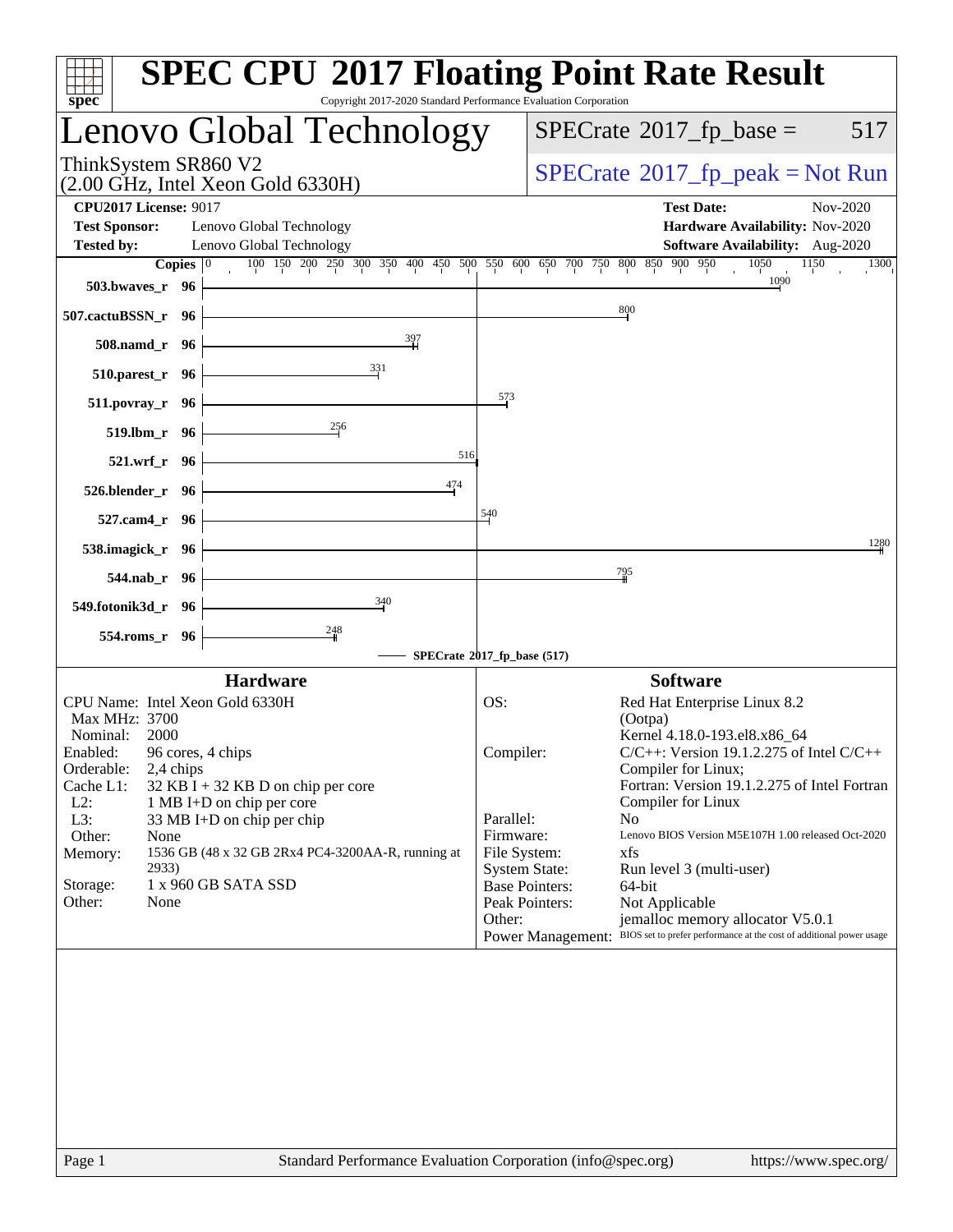| $spec^*$                                             |                                    | <b>SPEC CPU®2017 Floating Point Rate Result</b><br>Copyright 2017-2020 Standard Performance Evaluation Corporation           |                 |                       |                                                                                        |          |
|------------------------------------------------------|------------------------------------|------------------------------------------------------------------------------------------------------------------------------|-----------------|-----------------------|----------------------------------------------------------------------------------------|----------|
|                                                      |                                    | Lenovo Global Technology                                                                                                     |                 |                       | $SPECrate^{\circledast}2017$ _fp_base =                                                | 517      |
| ThinkSystem SR860 V2                                 |                                    | (2.00 GHz, Intel Xeon Gold 6330H)                                                                                            |                 |                       | $SPECrate^{\circ}2017rfp peak = Not Run$                                               |          |
| <b>CPU2017 License: 9017</b><br><b>Test Sponsor:</b> |                                    | Lenovo Global Technology                                                                                                     |                 |                       | <b>Test Date:</b><br>Hardware Availability: Nov-2020                                   | Nov-2020 |
| <b>Tested by:</b>                                    |                                    | Lenovo Global Technology                                                                                                     |                 |                       | <b>Software Availability:</b> Aug-2020                                                 |          |
|                                                      | Copies $ 0\rangle$                 | 100 150 200 250 300 350 400 450 500 550 600 650 700 750 800 850 900 950                                                      |                 |                       | 1050<br>1150                                                                           | 1300     |
|                                                      | 503.bwaves_r $96$                  |                                                                                                                              |                 |                       | 1090                                                                                   |          |
| 507.cactuBSSN_r 96                                   |                                    |                                                                                                                              |                 |                       | 800                                                                                    |          |
|                                                      | $508$ .namd_r 96                   |                                                                                                                              |                 |                       |                                                                                        |          |
|                                                      | 510.parest_r 96                    | 331                                                                                                                          | $\frac{573}{2}$ |                       |                                                                                        |          |
|                                                      | $511. povray_r$ 96<br>519.lbm_r 96 |                                                                                                                              |                 |                       |                                                                                        |          |
|                                                      | $521.wrf_r$ 96                     | 516<br><u> 1989 - Johann Barn, mars ann an t-Amhair an t-Amhair an t-Amhair an t-Amhair an t-Amhair an t-Amhair an t-Amh</u> |                 |                       |                                                                                        |          |
|                                                      | $526.$ blender_r 96                | 474                                                                                                                          |                 |                       |                                                                                        |          |
|                                                      | 527.cam4_r 96 $\vert$              |                                                                                                                              | 540             |                       |                                                                                        |          |
|                                                      | 538.imagick_r 96 $\vert$           |                                                                                                                              |                 |                       |                                                                                        | 1280     |
|                                                      | 544.nab_r 96                       |                                                                                                                              |                 |                       | <u>79</u> 5                                                                            |          |
| 549.fotonik3d_r 96                                   |                                    | $\frac{340}{5}$                                                                                                              |                 |                       |                                                                                        |          |
|                                                      | 554.roms_r 96                      |                                                                                                                              |                 |                       |                                                                                        |          |
|                                                      |                                    | SPECrate®2017_fp_base (517)                                                                                                  |                 |                       |                                                                                        |          |
|                                                      |                                    | <b>Hardware</b>                                                                                                              |                 |                       | <b>Software</b>                                                                        |          |
|                                                      |                                    | CPU Name: Intel Xeon Gold 6330H                                                                                              | OS:             |                       | Red Hat Enterprise Linux 8.2                                                           |          |
| Max MHz: 3700                                        |                                    |                                                                                                                              |                 |                       | (Ootpa)                                                                                |          |
| Nominal:                                             | 2000                               |                                                                                                                              |                 |                       | Kernel 4.18.0-193.el8.x86_64                                                           |          |
| Enabled:                                             | 96 cores, 4 chips                  |                                                                                                                              | Compiler:       |                       | $C/C++$ : Version 19.1.2.275 of Intel $C/C++$                                          |          |
| Orderable:                                           | 2,4 chips                          |                                                                                                                              |                 |                       | Compiler for Linux;                                                                    |          |
| Cache L1:                                            |                                    | $32$ KB I + 32 KB D on chip per core                                                                                         |                 |                       | Fortran: Version 19.1.2.275 of Intel Fortran                                           |          |
| $L2$ :                                               |                                    | 1 MB I+D on chip per core                                                                                                    |                 |                       | Compiler for Linux                                                                     |          |
| L3:                                                  |                                    | 33 MB I+D on chip per chip                                                                                                   | Parallel:       |                       | N <sub>0</sub>                                                                         |          |
| Other:                                               | None                               |                                                                                                                              | Firmware:       |                       | Lenovo BIOS Version M5E107H 1.00 released Oct-2020<br>xfs                              |          |
| Memory:                                              | 2933)                              | 1536 GB (48 x 32 GB 2Rx4 PC4-3200AA-R, running at                                                                            | File System:    | <b>System State:</b>  | Run level 3 (multi-user)                                                               |          |
| Storage:                                             |                                    | 1 x 960 GB SATA SSD                                                                                                          |                 | <b>Base Pointers:</b> | 64-bit                                                                                 |          |
| Other:                                               | None                               |                                                                                                                              |                 | Peak Pointers:        | Not Applicable                                                                         |          |
|                                                      |                                    |                                                                                                                              | Other:          |                       | jemalloc memory allocator V5.0.1                                                       |          |
|                                                      |                                    |                                                                                                                              |                 |                       | Power Management: BIOS set to prefer performance at the cost of additional power usage |          |
|                                                      |                                    |                                                                                                                              |                 |                       |                                                                                        |          |
| Page 1                                               |                                    | Standard Performance Evaluation Corporation (info@spec.org)                                                                  |                 |                       | https://www.spec.org/                                                                  |          |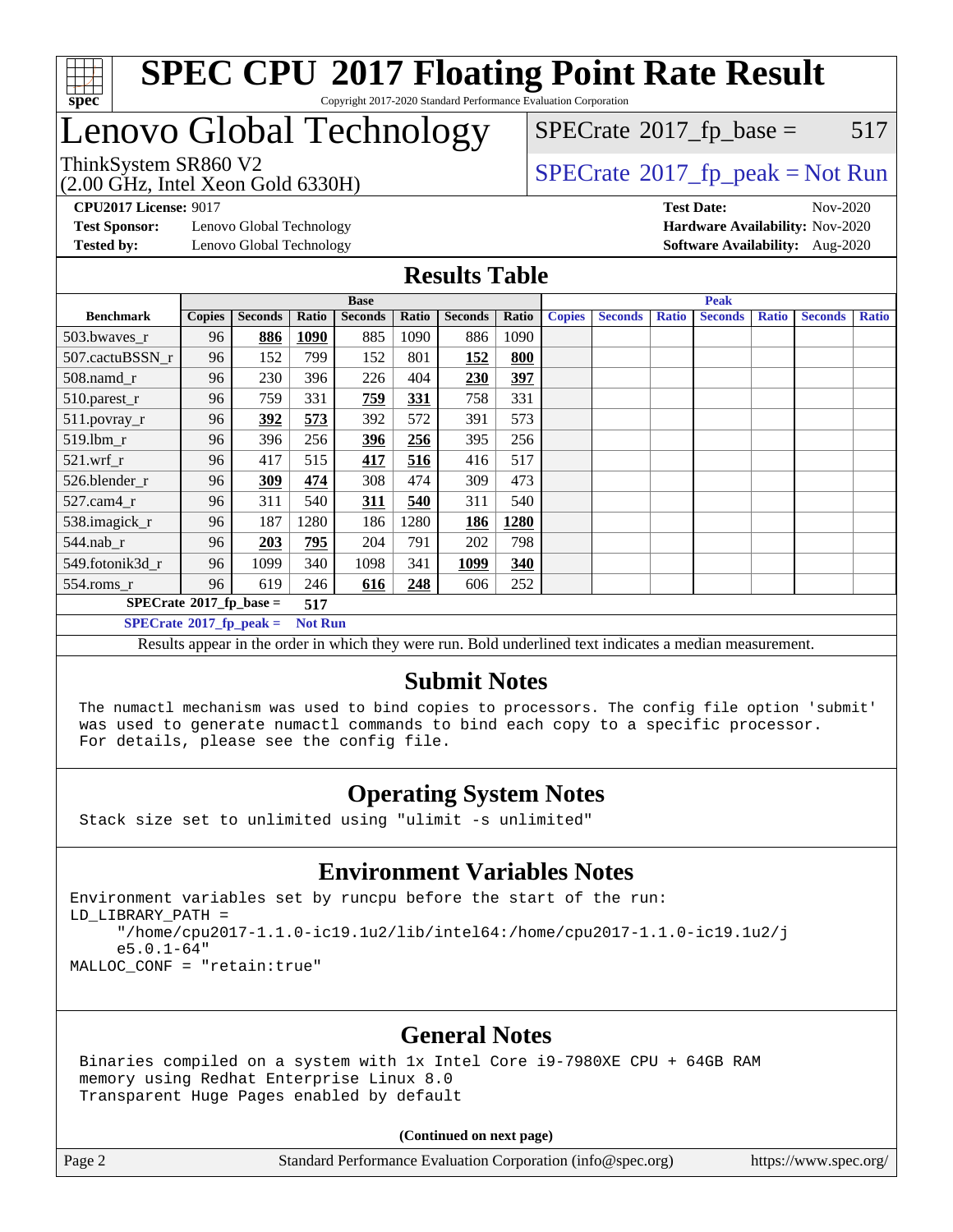

# Lenovo Global Technology

 $SPECTate$ <sup>®</sup>[2017\\_fp\\_base =](http://www.spec.org/auto/cpu2017/Docs/result-fields.html#SPECrate2017fpbase) 517

(2.00 GHz, Intel Xeon Gold 6330H)

ThinkSystem SR860 V2<br>  $\begin{array}{c}\n\text{SPECTate} \textcircled{2017\_fp\_peak} = \text{Not Run} \\
\text{SPECTate} \textcircled{2017\_fp\_peak} = \text{Not Run} \\
\end{array}$ 

**[Test Sponsor:](http://www.spec.org/auto/cpu2017/Docs/result-fields.html#TestSponsor)** Lenovo Global Technology **[Hardware Availability:](http://www.spec.org/auto/cpu2017/Docs/result-fields.html#HardwareAvailability)** Nov-2020 **[Tested by:](http://www.spec.org/auto/cpu2017/Docs/result-fields.html#Testedby)** Lenovo Global Technology **[Software Availability:](http://www.spec.org/auto/cpu2017/Docs/result-fields.html#SoftwareAvailability)** Aug-2020

**[CPU2017 License:](http://www.spec.org/auto/cpu2017/Docs/result-fields.html#CPU2017License)** 9017 **[Test Date:](http://www.spec.org/auto/cpu2017/Docs/result-fields.html#TestDate)** Nov-2020

### **[Results Table](http://www.spec.org/auto/cpu2017/Docs/result-fields.html#ResultsTable)**

|                                  |                            |                |       | <b>Base</b>    |       |                | <b>Peak</b> |               |                |              |                |              |                |              |
|----------------------------------|----------------------------|----------------|-------|----------------|-------|----------------|-------------|---------------|----------------|--------------|----------------|--------------|----------------|--------------|
| <b>Benchmark</b>                 | <b>Copies</b>              | <b>Seconds</b> | Ratio | <b>Seconds</b> | Ratio | <b>Seconds</b> | Ratio       | <b>Copies</b> | <b>Seconds</b> | <b>Ratio</b> | <b>Seconds</b> | <b>Ratio</b> | <b>Seconds</b> | <b>Ratio</b> |
| 503.bwayes_r                     | 96                         | 886            | 1090  | 885            | 1090  | 886            | 1090        |               |                |              |                |              |                |              |
| 507.cactuBSSN r                  | 96                         | 152            | 799   | 152            | 801   | 152            | 800         |               |                |              |                |              |                |              |
| $508$ .namd_r                    | 96                         | 230            | 396   | 226            | 404   | 230            | <u>397</u>  |               |                |              |                |              |                |              |
| 510.parest_r                     | 96                         | 759            | 331   | 759            | 331   | 758            | 331         |               |                |              |                |              |                |              |
| 511.povray_r                     | 96                         | 392            | 573   | 392            | 572   | 391            | 573         |               |                |              |                |              |                |              |
| 519.lbm r                        | 96                         | 396            | 256   | <u>396</u>     | 256   | 395            | 256         |               |                |              |                |              |                |              |
| $521$ .wrf r                     | 96                         | 417            | 515   | 417            | 516   | 416            | 517         |               |                |              |                |              |                |              |
| 526.blender r                    | 96                         | 309            | 474   | 308            | 474   | 309            | 473         |               |                |              |                |              |                |              |
| $527.cam4_r$                     | 96                         | 311            | 540   | 311            | 540   | 311            | 540         |               |                |              |                |              |                |              |
| 538.imagick_r                    | 96                         | 187            | 1280  | 186            | 1280  | 186            | 1280        |               |                |              |                |              |                |              |
| $544$ .nab_r                     | 96                         | 203            | 795   | 204            | 791   | 202            | 798         |               |                |              |                |              |                |              |
| 549.fotonik3d r                  | 96                         | 1099           | 340   | 1098           | 341   | 1099           | 340         |               |                |              |                |              |                |              |
| $554$ .roms $r$                  | 96                         | 619            | 246   | 616            | 248   | 606            | 252         |               |                |              |                |              |                |              |
|                                  | $SPECrate*2017_fp\_base =$ |                |       |                |       |                |             |               |                |              |                |              |                |              |
| $SPECrate^{\circ}2017$ fp peak = | <b>Not Run</b>             |                |       |                |       |                |             |               |                |              |                |              |                |              |

Results appear in the [order in which they were run](http://www.spec.org/auto/cpu2017/Docs/result-fields.html#RunOrder). Bold underlined text [indicates a median measurement.](http://www.spec.org/auto/cpu2017/Docs/result-fields.html#Median)

#### **[Submit Notes](http://www.spec.org/auto/cpu2017/Docs/result-fields.html#SubmitNotes)**

 The numactl mechanism was used to bind copies to processors. The config file option 'submit' was used to generate numactl commands to bind each copy to a specific processor. For details, please see the config file.

### **[Operating System Notes](http://www.spec.org/auto/cpu2017/Docs/result-fields.html#OperatingSystemNotes)**

Stack size set to unlimited using "ulimit -s unlimited"

### **[Environment Variables Notes](http://www.spec.org/auto/cpu2017/Docs/result-fields.html#EnvironmentVariablesNotes)**

Environment variables set by runcpu before the start of the run: LD\_LIBRARY\_PATH = "/home/cpu2017-1.1.0-ic19.1u2/lib/intel64:/home/cpu2017-1.1.0-ic19.1u2/j e5.0.1-64" MALLOC\_CONF = "retain:true"

### **[General Notes](http://www.spec.org/auto/cpu2017/Docs/result-fields.html#GeneralNotes)**

 Binaries compiled on a system with 1x Intel Core i9-7980XE CPU + 64GB RAM memory using Redhat Enterprise Linux 8.0 Transparent Huge Pages enabled by default

#### **(Continued on next page)**

Page 2 Standard Performance Evaluation Corporation [\(info@spec.org\)](mailto:info@spec.org) <https://www.spec.org/>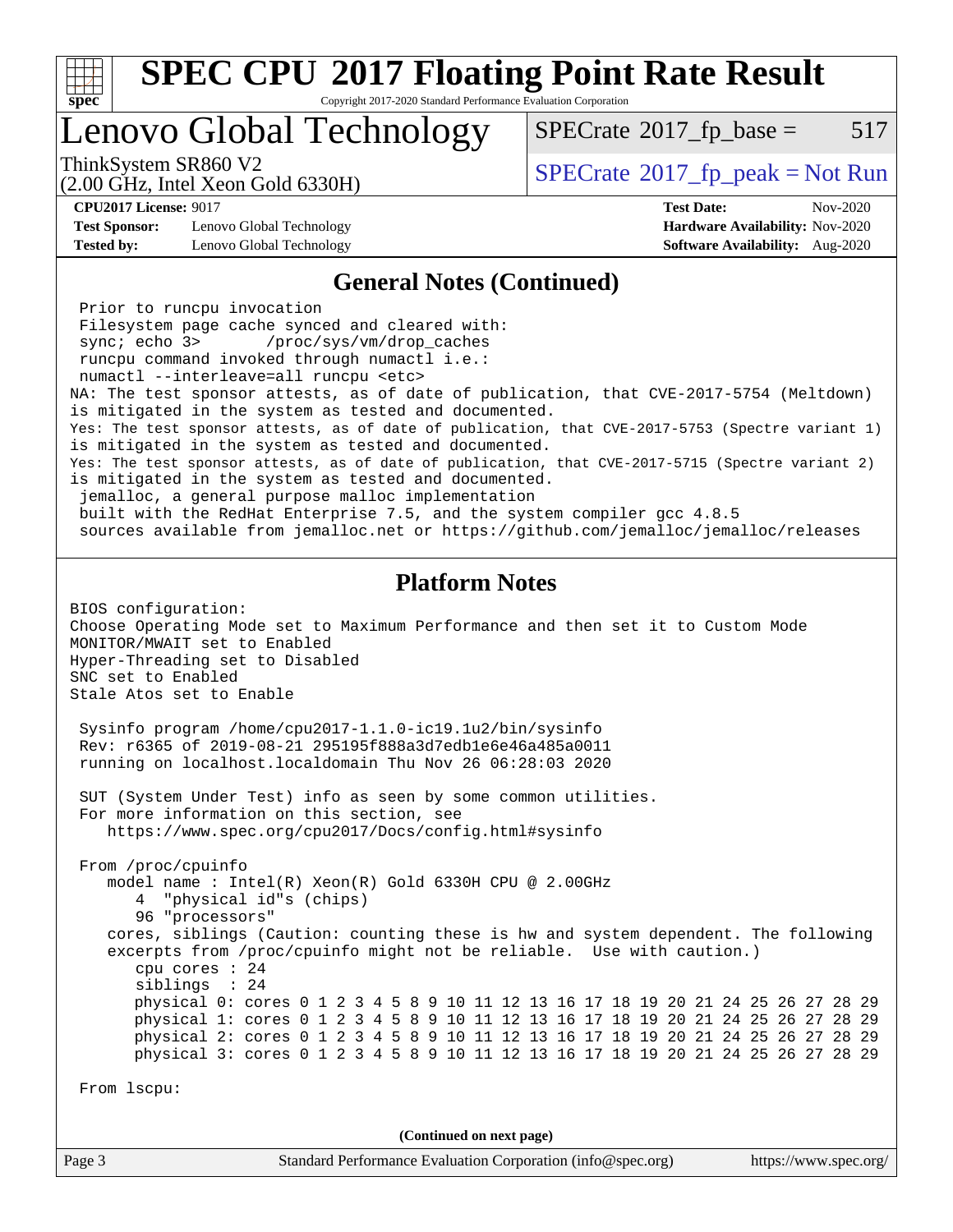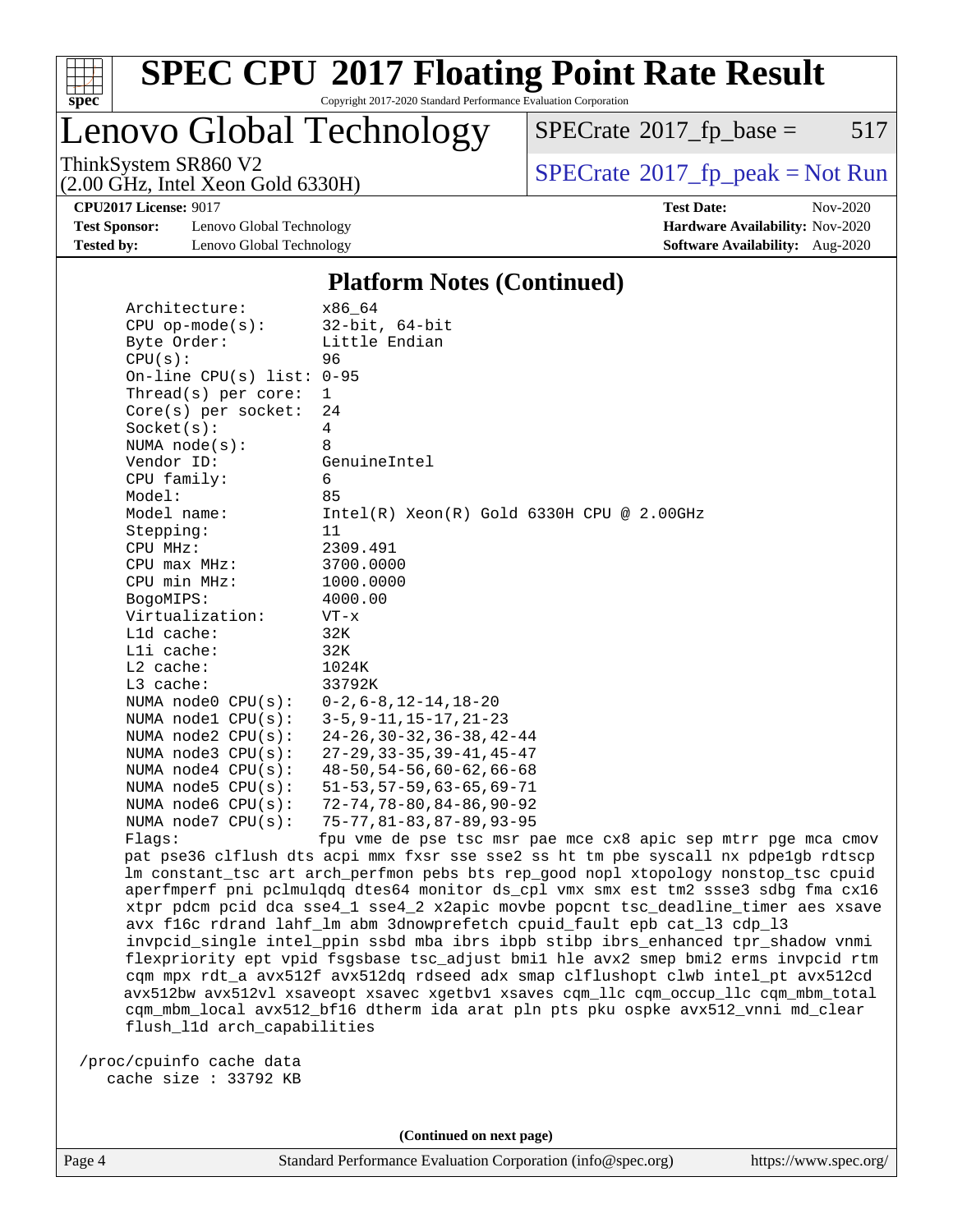

Lenovo Global Technology

 $SPECTate$ <sup>®</sup>[2017\\_fp\\_base =](http://www.spec.org/auto/cpu2017/Docs/result-fields.html#SPECrate2017fpbase) 517

(2.00 GHz, Intel Xeon Gold 6330H)

ThinkSystem SR860 V2<br>  $\begin{array}{c}\n\text{SPECrate} \textcirc 2017\_fp\_peak = Not Run \\
\text{SPECrate} \textcirc 2017\_fp\_peak = Not Run\n\end{array}$  $\begin{array}{c}\n\text{SPECrate} \textcirc 2017\_fp\_peak = Not Run \\
\text{SPECrate} \textcirc 2017\_fp\_peak = Not Run\n\end{array}$  $\begin{array}{c}\n\text{SPECrate} \textcirc 2017\_fp\_peak = Not Run \\
\text{SPECrate} \textcirc 2017\_fp\_peak = Not Run\n\end{array}$ 

**[Test Sponsor:](http://www.spec.org/auto/cpu2017/Docs/result-fields.html#TestSponsor)** Lenovo Global Technology **[Hardware Availability:](http://www.spec.org/auto/cpu2017/Docs/result-fields.html#HardwareAvailability)** Nov-2020 **[Tested by:](http://www.spec.org/auto/cpu2017/Docs/result-fields.html#Testedby)** Lenovo Global Technology **[Software Availability:](http://www.spec.org/auto/cpu2017/Docs/result-fields.html#SoftwareAvailability)** Aug-2020

**[CPU2017 License:](http://www.spec.org/auto/cpu2017/Docs/result-fields.html#CPU2017License)** 9017 **[Test Date:](http://www.spec.org/auto/cpu2017/Docs/result-fields.html#TestDate)** Nov-2020

### **[Platform Notes \(Continued\)](http://www.spec.org/auto/cpu2017/Docs/result-fields.html#PlatformNotes)**

| Architecture:               | x86_64                                                                              |
|-----------------------------|-------------------------------------------------------------------------------------|
| $CPU$ op-mode( $s$ ):       | $32$ -bit, $64$ -bit                                                                |
| Byte Order:                 | Little Endian                                                                       |
| CPU(s):                     | 96                                                                                  |
| On-line CPU(s) list: $0-95$ |                                                                                     |
| Thread( $s$ ) per core:     | 1                                                                                   |
| $Core(s)$ per socket:       | 24                                                                                  |
| Socket(s):                  | 4                                                                                   |
| NUMA $node(s)$ :            | 8                                                                                   |
| Vendor ID:                  | GenuineIntel                                                                        |
| CPU family:                 | 6                                                                                   |
| Model:                      | 85                                                                                  |
| Model name:                 | $Intel(R)$ Xeon $(R)$ Gold 6330H CPU @ 2.00GHz                                      |
| Stepping:                   | 11                                                                                  |
| CPU MHz:                    | 2309.491                                                                            |
| $CPU$ max $MHz$ :           | 3700.0000                                                                           |
| CPU min MHz:                | 1000.0000                                                                           |
| BogoMIPS:                   | 4000.00                                                                             |
| Virtualization:             | $VT - x$                                                                            |
| L1d cache:                  | 32K                                                                                 |
| Lli cache:                  | 32K                                                                                 |
| $L2$ cache:                 | 1024K                                                                               |
| L3 cache:                   | 33792K                                                                              |
| NUMA node0 CPU(s):          | $0 - 2$ , $6 - 8$ , $12 - 14$ , $18 - 20$                                           |
| NUMA nodel $CPU(s):$        | $3 - 5, 9 - 11, 15 - 17, 21 - 23$                                                   |
| NUMA $node2$ $CPU(s):$      | $24 - 26$ , $30 - 32$ , $36 - 38$ , $42 - 44$                                       |
| NUMA $node3$ $CPU(s)$ :     | $27 - 29$ , $33 - 35$ , $39 - 41$ , $45 - 47$                                       |
| NUMA $node4$ CPU $(s)$ :    | $48 - 50, 54 - 56, 60 - 62, 66 - 68$                                                |
| NUMA $node5$ $CPU(s):$      | $51 - 53, 57 - 59, 63 - 65, 69 - 71$                                                |
| NUMA node6 CPU(s):          | $72 - 74, 78 - 80, 84 - 86, 90 - 92$                                                |
| NUMA node7 CPU(s):          | $75 - 77, 81 - 83, 87 - 89, 93 - 95$                                                |
| Flags:                      | fpu vme de pse tsc msr pae mce cx8 apic sep mtrr pge mca cmov                       |
|                             | pat pse36 clflush dts acpi mmx fxsr sse sse2 ss ht tm pbe syscall nx pdpelgb rdtscp |
|                             | lm constant_tsc art arch_perfmon pebs bts rep_good nopl xtopology nonstop_tsc cpuid |
|                             | aperfmperf pni pclmulgdg dtes64 monitor ds_cpl vmx smx est tm2 ssse3 sdbg fma cx16  |
|                             | xtpr pdcm pcid dca sse4_1 sse4_2 x2apic movbe popcnt tsc_deadline_timer aes xsave   |

 avx f16c rdrand lahf\_lm abm 3dnowprefetch cpuid\_fault epb cat\_l3 cdp\_l3 invpcid\_single intel\_ppin ssbd mba ibrs ibpb stibp ibrs\_enhanced tpr\_shadow vnmi flexpriority ept vpid fsgsbase tsc\_adjust bmi1 hle avx2 smep bmi2 erms invpcid rtm cqm mpx rdt\_a avx512f avx512dq rdseed adx smap clflushopt clwb intel\_pt avx512cd avx512bw avx512vl xsaveopt xsavec xgetbv1 xsaves cqm\_llc cqm\_occup\_llc cqm\_mbm\_total cqm\_mbm\_local avx512\_bf16 dtherm ida arat pln pts pku ospke avx512\_vnni md\_clear flush\_l1d arch\_capabilities

 /proc/cpuinfo cache data cache size : 33792 KB

**(Continued on next page)**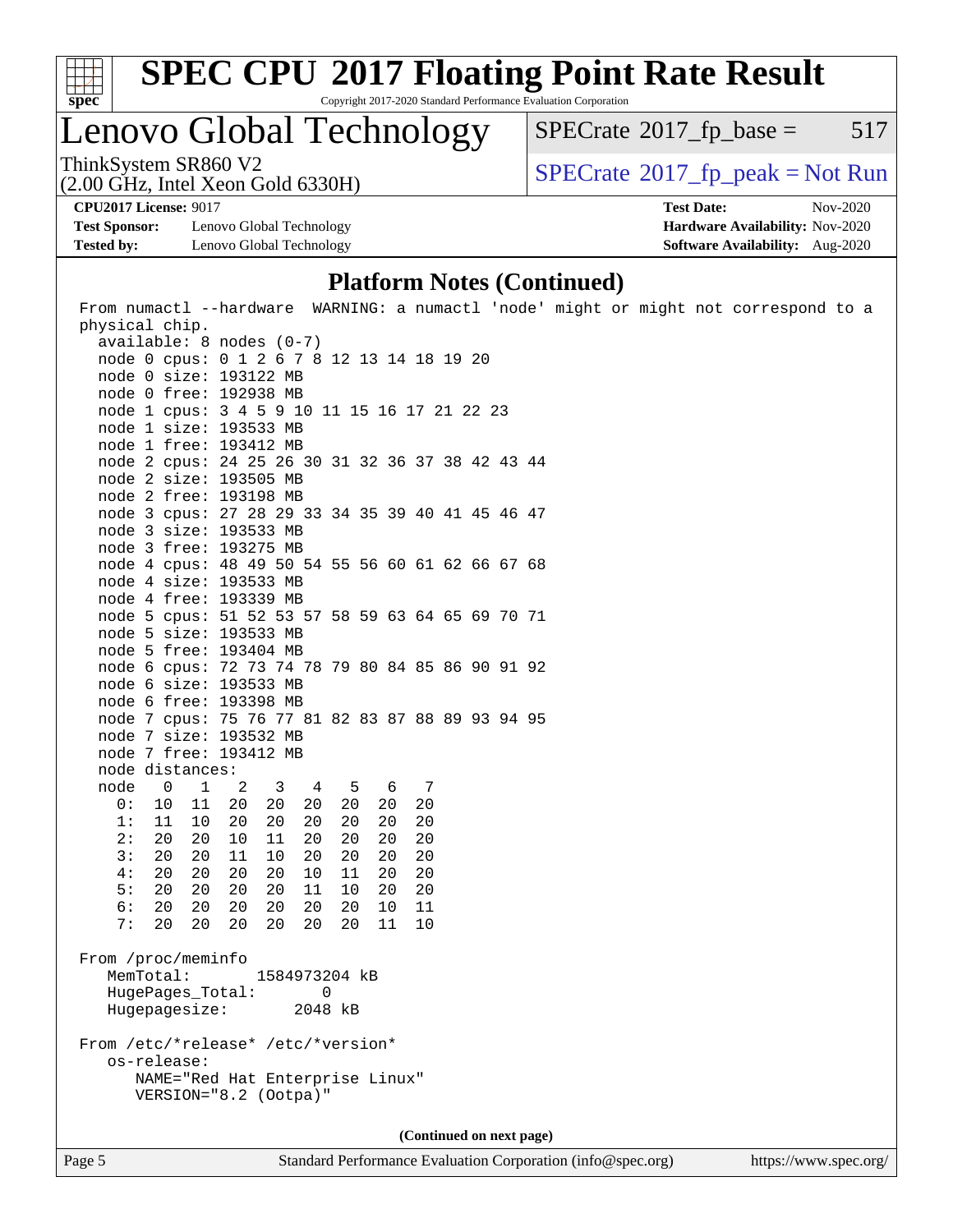

# **[SPEC CPU](http://www.spec.org/auto/cpu2017/Docs/result-fields.html#SPECCPU2017FloatingPointRateResult)[2017 Floating Point Rate Result](http://www.spec.org/auto/cpu2017/Docs/result-fields.html#SPECCPU2017FloatingPointRateResult)**

Copyright 2017-2020 Standard Performance Evaluation Corporation

Lenovo Global Technology

 $SPECTate$ <sup>®</sup>[2017\\_fp\\_base =](http://www.spec.org/auto/cpu2017/Docs/result-fields.html#SPECrate2017fpbase) 517

(2.00 GHz, Intel Xeon Gold 6330H)

ThinkSystem SR860 V2<br>(2.00 GHz, Intel Xeon Gold 6330H)  $\vert$  [SPECrate](http://www.spec.org/auto/cpu2017/Docs/result-fields.html#SPECrate2017fppeak)®[2017\\_fp\\_peak = N](http://www.spec.org/auto/cpu2017/Docs/result-fields.html#SPECrate2017fppeak)ot Run

**[Test Sponsor:](http://www.spec.org/auto/cpu2017/Docs/result-fields.html#TestSponsor)** Lenovo Global Technology **[Hardware Availability:](http://www.spec.org/auto/cpu2017/Docs/result-fields.html#HardwareAvailability)** Nov-2020 **[Tested by:](http://www.spec.org/auto/cpu2017/Docs/result-fields.html#Testedby)** Lenovo Global Technology **[Software Availability:](http://www.spec.org/auto/cpu2017/Docs/result-fields.html#SoftwareAvailability)** Aug-2020

**[CPU2017 License:](http://www.spec.org/auto/cpu2017/Docs/result-fields.html#CPU2017License)** 9017 **[Test Date:](http://www.spec.org/auto/cpu2017/Docs/result-fields.html#TestDate)** Nov-2020

### **[Platform Notes \(Continued\)](http://www.spec.org/auto/cpu2017/Docs/result-fields.html#PlatformNotes)**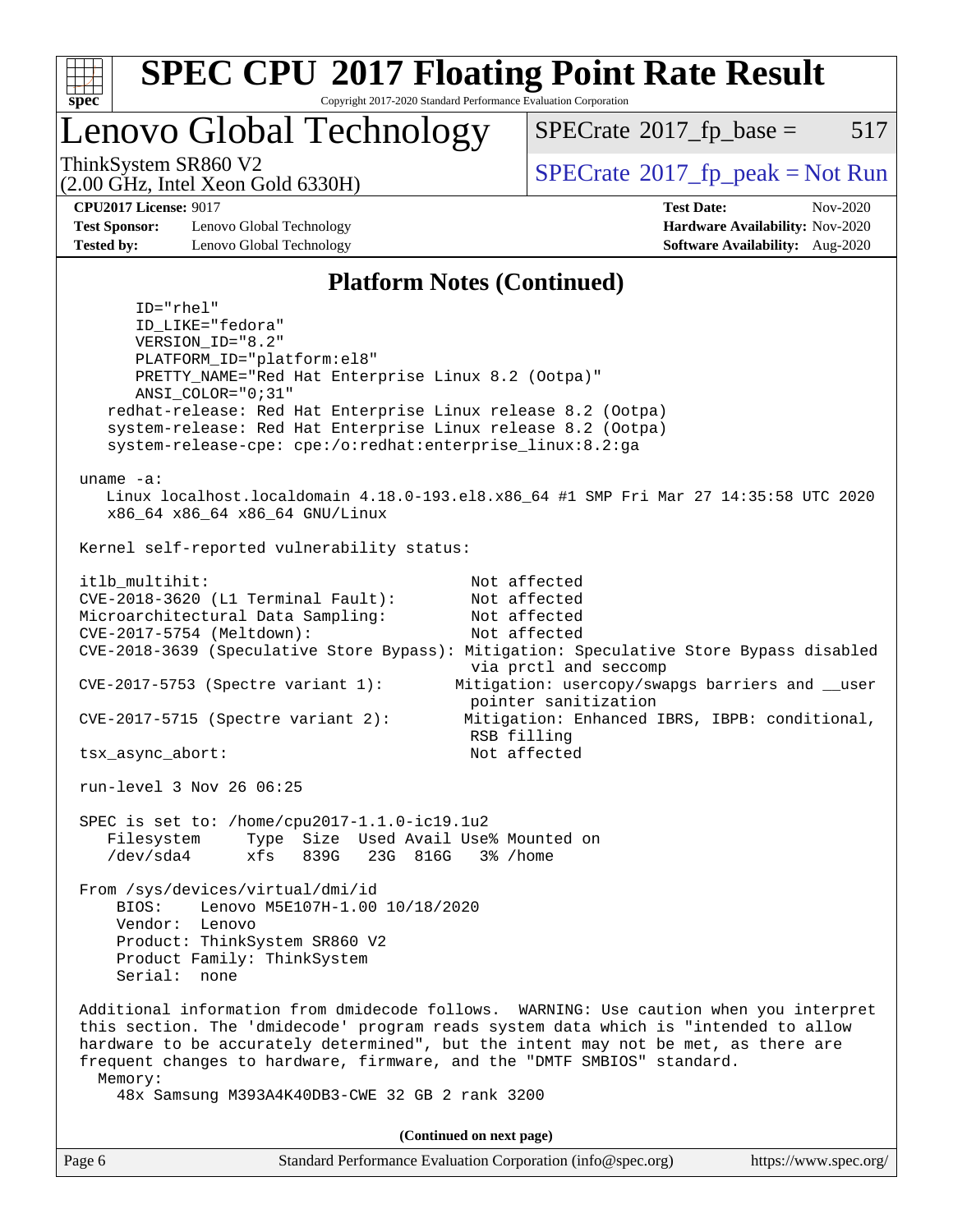

### Lenovo Global Technology

 $SPECTate$ <sup>®</sup>[2017\\_fp\\_base =](http://www.spec.org/auto/cpu2017/Docs/result-fields.html#SPECrate2017fpbase) 517

(2.00 GHz, Intel Xeon Gold 6330H)

ThinkSystem SR860 V2<br>  $\begin{array}{c} \text{SPECTR} \setminus \text{SVD} \\ \text{SPECTR} \setminus \text{SVD} \end{array}$  [SPECrate](http://www.spec.org/auto/cpu2017/Docs/result-fields.html#SPECrate2017fppeak)®[2017\\_fp\\_peak = N](http://www.spec.org/auto/cpu2017/Docs/result-fields.html#SPECrate2017fppeak)ot Run

**[CPU2017 License:](http://www.spec.org/auto/cpu2017/Docs/result-fields.html#CPU2017License)** 9017 **[Test Date:](http://www.spec.org/auto/cpu2017/Docs/result-fields.html#TestDate)** Nov-2020

**[Test Sponsor:](http://www.spec.org/auto/cpu2017/Docs/result-fields.html#TestSponsor)** Lenovo Global Technology **[Hardware Availability:](http://www.spec.org/auto/cpu2017/Docs/result-fields.html#HardwareAvailability)** Nov-2020 **[Tested by:](http://www.spec.org/auto/cpu2017/Docs/result-fields.html#Testedby)** Lenovo Global Technology **[Software Availability:](http://www.spec.org/auto/cpu2017/Docs/result-fields.html#SoftwareAvailability)** Aug-2020

### **[Platform Notes \(Continued\)](http://www.spec.org/auto/cpu2017/Docs/result-fields.html#PlatformNotes)**

 ID="rhel" ID\_LIKE="fedora" VERSION\_ID="8.2" PLATFORM\_ID="platform:el8" PRETTY\_NAME="Red Hat Enterprise Linux 8.2 (Ootpa)" ANSI\_COLOR="0;31" redhat-release: Red Hat Enterprise Linux release 8.2 (Ootpa) system-release: Red Hat Enterprise Linux release 8.2 (Ootpa) system-release-cpe: cpe:/o:redhat:enterprise\_linux:8.2:ga uname -a: Linux localhost.localdomain 4.18.0-193.el8.x86\_64 #1 SMP Fri Mar 27 14:35:58 UTC 2020 x86\_64 x86\_64 x86\_64 GNU/Linux Kernel self-reported vulnerability status: itlb\_multihit: Not affected CVE-2018-3620 (L1 Terminal Fault): Not affected Microarchitectural Data Sampling: Not affected CVE-2017-5754 (Meltdown): Not affected CVE-2018-3639 (Speculative Store Bypass): Mitigation: Speculative Store Bypass disabled via prctl and seccomp CVE-2017-5753 (Spectre variant 1): Mitigation: usercopy/swapgs barriers and \_\_user pointer sanitization CVE-2017-5715 (Spectre variant 2): Mitigation: Enhanced IBRS, IBPB: conditional, RSB filling tsx\_async\_abort: Not affected run-level 3 Nov 26 06:25 SPEC is set to: /home/cpu2017-1.1.0-ic19.1u2 Filesystem Type Size Used Avail Use% Mounted on /dev/sda4 xfs 839G 23G 816G 3% /home From /sys/devices/virtual/dmi/id BIOS: Lenovo M5E107H-1.00 10/18/2020 Vendor: Lenovo Product: ThinkSystem SR860 V2 Product Family: ThinkSystem Serial: none Additional information from dmidecode follows. WARNING: Use caution when you interpret this section. The 'dmidecode' program reads system data which is "intended to allow hardware to be accurately determined", but the intent may not be met, as there are frequent changes to hardware, firmware, and the "DMTF SMBIOS" standard. Memory: 48x Samsung M393A4K40DB3-CWE 32 GB 2 rank 3200 **(Continued on next page)**

| Page 6 | Standard Performance Evaluation Corporation (info@spec.org) | https://www.spec.org/ |
|--------|-------------------------------------------------------------|-----------------------|
|--------|-------------------------------------------------------------|-----------------------|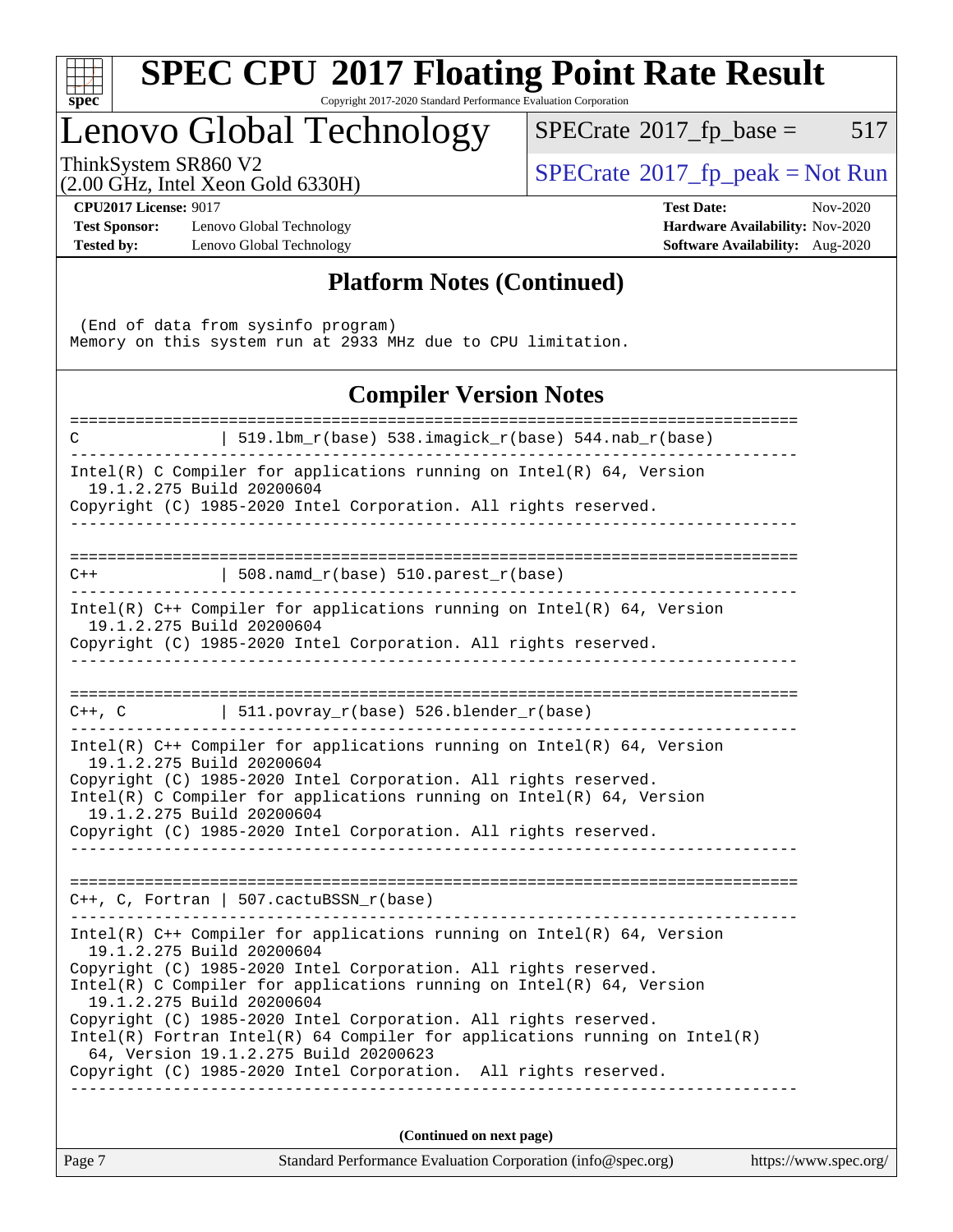| $S^1$<br>Эe<br>Ċ, |  |  |  |  |  |  |
|-------------------|--|--|--|--|--|--|

# **[SPEC CPU](http://www.spec.org/auto/cpu2017/Docs/result-fields.html#SPECCPU2017FloatingPointRateResult)[2017 Floating Point Rate Result](http://www.spec.org/auto/cpu2017/Docs/result-fields.html#SPECCPU2017FloatingPointRateResult)**

Copyright 2017-2020 Standard Performance Evaluation Corporation

### Lenovo Global Technology

 $SPECTate@2017_fp\_base = 517$ 

(2.00 GHz, Intel Xeon Gold 6330H)

 $SPECTate@2017_fp_peak = Not Run$  $SPECTate@2017_fp_peak = Not Run$  $SPECTate@2017_fp_peak = Not Run$ 

**[Test Sponsor:](http://www.spec.org/auto/cpu2017/Docs/result-fields.html#TestSponsor)** Lenovo Global Technology **[Hardware Availability:](http://www.spec.org/auto/cpu2017/Docs/result-fields.html#HardwareAvailability)** Nov-2020 **[Tested by:](http://www.spec.org/auto/cpu2017/Docs/result-fields.html#Testedby)** Lenovo Global Technology **[Software Availability:](http://www.spec.org/auto/cpu2017/Docs/result-fields.html#SoftwareAvailability)** Aug-2020

**[CPU2017 License:](http://www.spec.org/auto/cpu2017/Docs/result-fields.html#CPU2017License)** 9017 **[Test Date:](http://www.spec.org/auto/cpu2017/Docs/result-fields.html#TestDate)** Nov-2020

### **[Platform Notes \(Continued\)](http://www.spec.org/auto/cpu2017/Docs/result-fields.html#PlatformNotes)**

 (End of data from sysinfo program) Memory on this system run at 2933 MHz due to CPU limitation.

### **[Compiler Version Notes](http://www.spec.org/auto/cpu2017/Docs/result-fields.html#CompilerVersionNotes)**

|                           | (Continued on next page)                                                                                                                   |  |
|---------------------------|--------------------------------------------------------------------------------------------------------------------------------------------|--|
|                           |                                                                                                                                            |  |
|                           | Copyright (C) 1985-2020 Intel Corporation. All rights reserved.                                                                            |  |
|                           | $Intel(R)$ Fortran Intel(R) 64 Compiler for applications running on Intel(R)<br>64, Version 19.1.2.275 Build 20200623                      |  |
|                           | Copyright (C) 1985-2020 Intel Corporation. All rights reserved.                                                                            |  |
| 19.1.2.275 Build 20200604 | Intel(R) C Compiler for applications running on Intel(R) $64$ , Version                                                                    |  |
|                           | Copyright (C) 1985-2020 Intel Corporation. All rights reserved.                                                                            |  |
| 19.1.2.275 Build 20200604 | Intel(R) $C++$ Compiler for applications running on Intel(R) 64, Version                                                                   |  |
|                           | $C++$ , C, Fortran   507.cactuBSSN_r(base)                                                                                                 |  |
|                           |                                                                                                                                            |  |
|                           | Copyright (C) 1985-2020 Intel Corporation. All rights reserved.                                                                            |  |
| 19.1.2.275 Build 20200604 | Copyright (C) 1985-2020 Intel Corporation. All rights reserved.<br>Intel(R) C Compiler for applications running on $Intel(R) 64$ , Version |  |
| 19.1.2.275 Build 20200604 |                                                                                                                                            |  |
|                           | Intel(R) C++ Compiler for applications running on Intel(R) $64$ , Version                                                                  |  |
|                           | $C++$ , C   511.povray_r(base) 526.blender_r(base)                                                                                         |  |
|                           |                                                                                                                                            |  |
| 19.1.2.275 Build 20200604 | Copyright (C) 1985-2020 Intel Corporation. All rights reserved.                                                                            |  |
|                           | Intel(R) $C++$ Compiler for applications running on Intel(R) 64, Version                                                                   |  |
| $C++$                     | $  508.namd_r(base) 510.parest_r(base)$                                                                                                    |  |
|                           |                                                                                                                                            |  |
| 19.1.2.275 Build 20200604 | Intel(R) C Compiler for applications running on $Intel(R)$ 64, Version<br>Copyright (C) 1985-2020 Intel Corporation. All rights reserved.  |  |
| C                         | $519.1bm_r(base) 538.imagick_r(base) 544.nab_r(base)$                                                                                      |  |
|                           |                                                                                                                                            |  |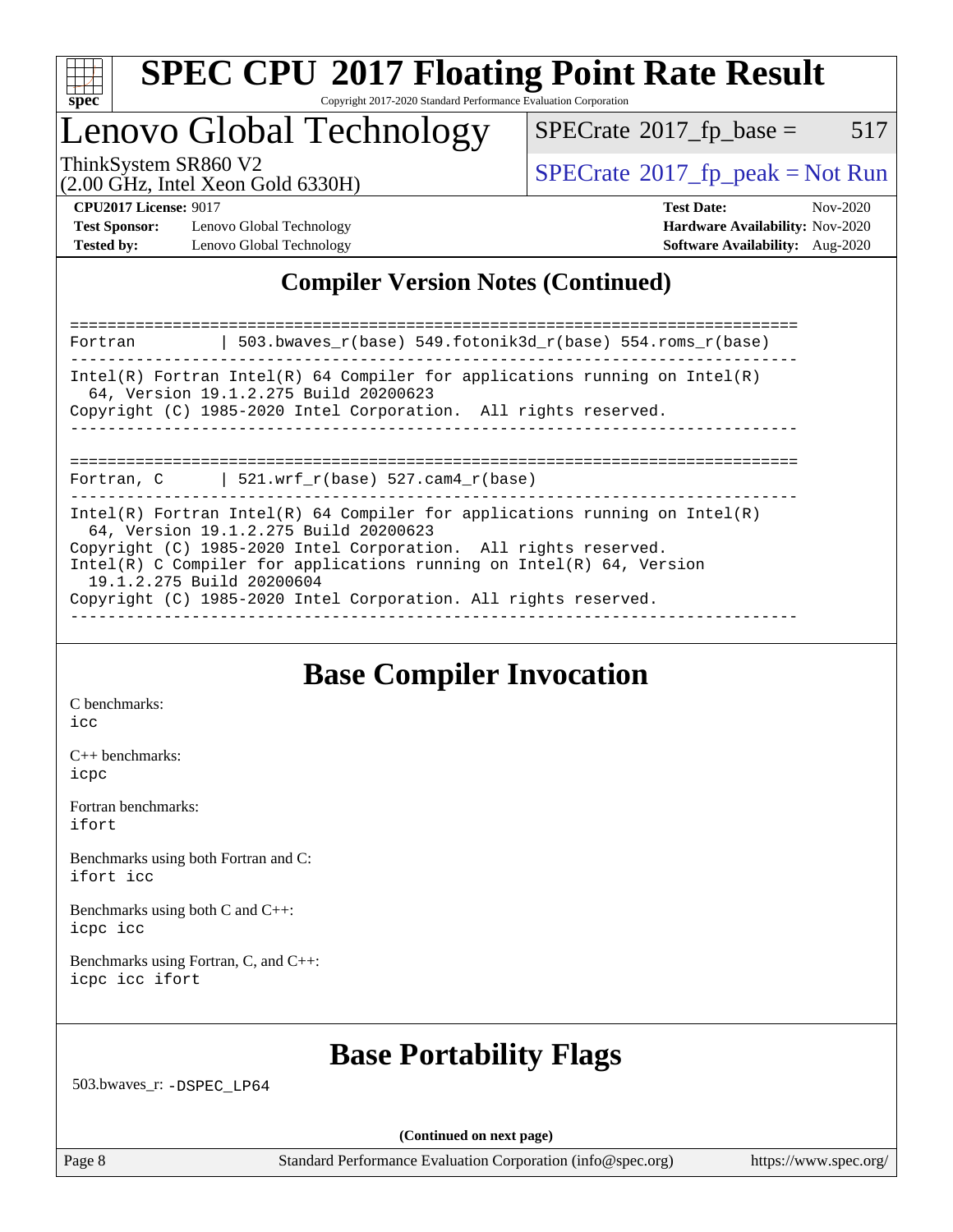

### Lenovo Global Technology

 $SPECTate$ <sup>®</sup>[2017\\_fp\\_base =](http://www.spec.org/auto/cpu2017/Docs/result-fields.html#SPECrate2017fpbase) 517

(2.00 GHz, Intel Xeon Gold 6330H)

ThinkSystem SR860 V2<br>  $\begin{array}{c} \text{SPECTR} \setminus \text{SVD} \\ \text{SPECTR} \setminus \text{SVD} \end{array}$  [SPECrate](http://www.spec.org/auto/cpu2017/Docs/result-fields.html#SPECrate2017fppeak)®[2017\\_fp\\_peak = N](http://www.spec.org/auto/cpu2017/Docs/result-fields.html#SPECrate2017fppeak)ot Run

**[Test Sponsor:](http://www.spec.org/auto/cpu2017/Docs/result-fields.html#TestSponsor)** Lenovo Global Technology **[Hardware Availability:](http://www.spec.org/auto/cpu2017/Docs/result-fields.html#HardwareAvailability)** Nov-2020 **[Tested by:](http://www.spec.org/auto/cpu2017/Docs/result-fields.html#Testedby)** Lenovo Global Technology **[Software Availability:](http://www.spec.org/auto/cpu2017/Docs/result-fields.html#SoftwareAvailability)** Aug-2020

**[CPU2017 License:](http://www.spec.org/auto/cpu2017/Docs/result-fields.html#CPU2017License)** 9017 **[Test Date:](http://www.spec.org/auto/cpu2017/Docs/result-fields.html#TestDate)** Nov-2020

### **[Compiler Version Notes \(Continued\)](http://www.spec.org/auto/cpu2017/Docs/result-fields.html#CompilerVersionNotes)**

============================================================================== Fortran | 503.bwaves\_r(base) 549.fotonik3d\_r(base) 554.roms\_r(base) ------------------------------------------------------------------------------ Intel(R) Fortran Intel(R) 64 Compiler for applications running on Intel(R) 64, Version 19.1.2.275 Build 20200623 Copyright (C) 1985-2020 Intel Corporation. All rights reserved. ------------------------------------------------------------------------------ ============================================================================== Fortran,  $C$  | 521.wrf\_r(base) 527.cam4\_r(base) ------------------------------------------------------------------------------ Intel(R) Fortran Intel(R)  $64$  Compiler for applications running on Intel(R) 64, Version 19.1.2.275 Build 20200623 Copyright (C) 1985-2020 Intel Corporation. All rights reserved. Intel(R) C Compiler for applications running on Intel(R) 64, Version 19.1.2.275 Build 20200604 Copyright (C) 1985-2020 Intel Corporation. All rights reserved. ------------------------------------------------------------------------------

### **[Base Compiler Invocation](http://www.spec.org/auto/cpu2017/Docs/result-fields.html#BaseCompilerInvocation)**

[C benchmarks](http://www.spec.org/auto/cpu2017/Docs/result-fields.html#Cbenchmarks):

[icc](http://www.spec.org/cpu2017/results/res2020q4/cpu2017-20201207-24553.flags.html#user_CCbase_intel_icc_66fc1ee009f7361af1fbd72ca7dcefbb700085f36577c54f309893dd4ec40d12360134090235512931783d35fd58c0460139e722d5067c5574d8eaf2b3e37e92)

[C++ benchmarks:](http://www.spec.org/auto/cpu2017/Docs/result-fields.html#CXXbenchmarks) [icpc](http://www.spec.org/cpu2017/results/res2020q4/cpu2017-20201207-24553.flags.html#user_CXXbase_intel_icpc_c510b6838c7f56d33e37e94d029a35b4a7bccf4766a728ee175e80a419847e808290a9b78be685c44ab727ea267ec2f070ec5dc83b407c0218cded6866a35d07)

[Fortran benchmarks](http://www.spec.org/auto/cpu2017/Docs/result-fields.html#Fortranbenchmarks): [ifort](http://www.spec.org/cpu2017/results/res2020q4/cpu2017-20201207-24553.flags.html#user_FCbase_intel_ifort_8111460550e3ca792625aed983ce982f94888b8b503583aa7ba2b8303487b4d8a21a13e7191a45c5fd58ff318f48f9492884d4413fa793fd88dd292cad7027ca)

[Benchmarks using both Fortran and C](http://www.spec.org/auto/cpu2017/Docs/result-fields.html#BenchmarksusingbothFortranandC): [ifort](http://www.spec.org/cpu2017/results/res2020q4/cpu2017-20201207-24553.flags.html#user_CC_FCbase_intel_ifort_8111460550e3ca792625aed983ce982f94888b8b503583aa7ba2b8303487b4d8a21a13e7191a45c5fd58ff318f48f9492884d4413fa793fd88dd292cad7027ca) [icc](http://www.spec.org/cpu2017/results/res2020q4/cpu2017-20201207-24553.flags.html#user_CC_FCbase_intel_icc_66fc1ee009f7361af1fbd72ca7dcefbb700085f36577c54f309893dd4ec40d12360134090235512931783d35fd58c0460139e722d5067c5574d8eaf2b3e37e92)

[Benchmarks using both C and C++](http://www.spec.org/auto/cpu2017/Docs/result-fields.html#BenchmarksusingbothCandCXX): [icpc](http://www.spec.org/cpu2017/results/res2020q4/cpu2017-20201207-24553.flags.html#user_CC_CXXbase_intel_icpc_c510b6838c7f56d33e37e94d029a35b4a7bccf4766a728ee175e80a419847e808290a9b78be685c44ab727ea267ec2f070ec5dc83b407c0218cded6866a35d07) [icc](http://www.spec.org/cpu2017/results/res2020q4/cpu2017-20201207-24553.flags.html#user_CC_CXXbase_intel_icc_66fc1ee009f7361af1fbd72ca7dcefbb700085f36577c54f309893dd4ec40d12360134090235512931783d35fd58c0460139e722d5067c5574d8eaf2b3e37e92)

[Benchmarks using Fortran, C, and C++:](http://www.spec.org/auto/cpu2017/Docs/result-fields.html#BenchmarksusingFortranCandCXX) [icpc](http://www.spec.org/cpu2017/results/res2020q4/cpu2017-20201207-24553.flags.html#user_CC_CXX_FCbase_intel_icpc_c510b6838c7f56d33e37e94d029a35b4a7bccf4766a728ee175e80a419847e808290a9b78be685c44ab727ea267ec2f070ec5dc83b407c0218cded6866a35d07) [icc](http://www.spec.org/cpu2017/results/res2020q4/cpu2017-20201207-24553.flags.html#user_CC_CXX_FCbase_intel_icc_66fc1ee009f7361af1fbd72ca7dcefbb700085f36577c54f309893dd4ec40d12360134090235512931783d35fd58c0460139e722d5067c5574d8eaf2b3e37e92) [ifort](http://www.spec.org/cpu2017/results/res2020q4/cpu2017-20201207-24553.flags.html#user_CC_CXX_FCbase_intel_ifort_8111460550e3ca792625aed983ce982f94888b8b503583aa7ba2b8303487b4d8a21a13e7191a45c5fd58ff318f48f9492884d4413fa793fd88dd292cad7027ca)

### **[Base Portability Flags](http://www.spec.org/auto/cpu2017/Docs/result-fields.html#BasePortabilityFlags)**

503.bwaves\_r: [-DSPEC\\_LP64](http://www.spec.org/cpu2017/results/res2020q4/cpu2017-20201207-24553.flags.html#suite_basePORTABILITY503_bwaves_r_DSPEC_LP64)

**(Continued on next page)**

Page 8 Standard Performance Evaluation Corporation [\(info@spec.org\)](mailto:info@spec.org) <https://www.spec.org/>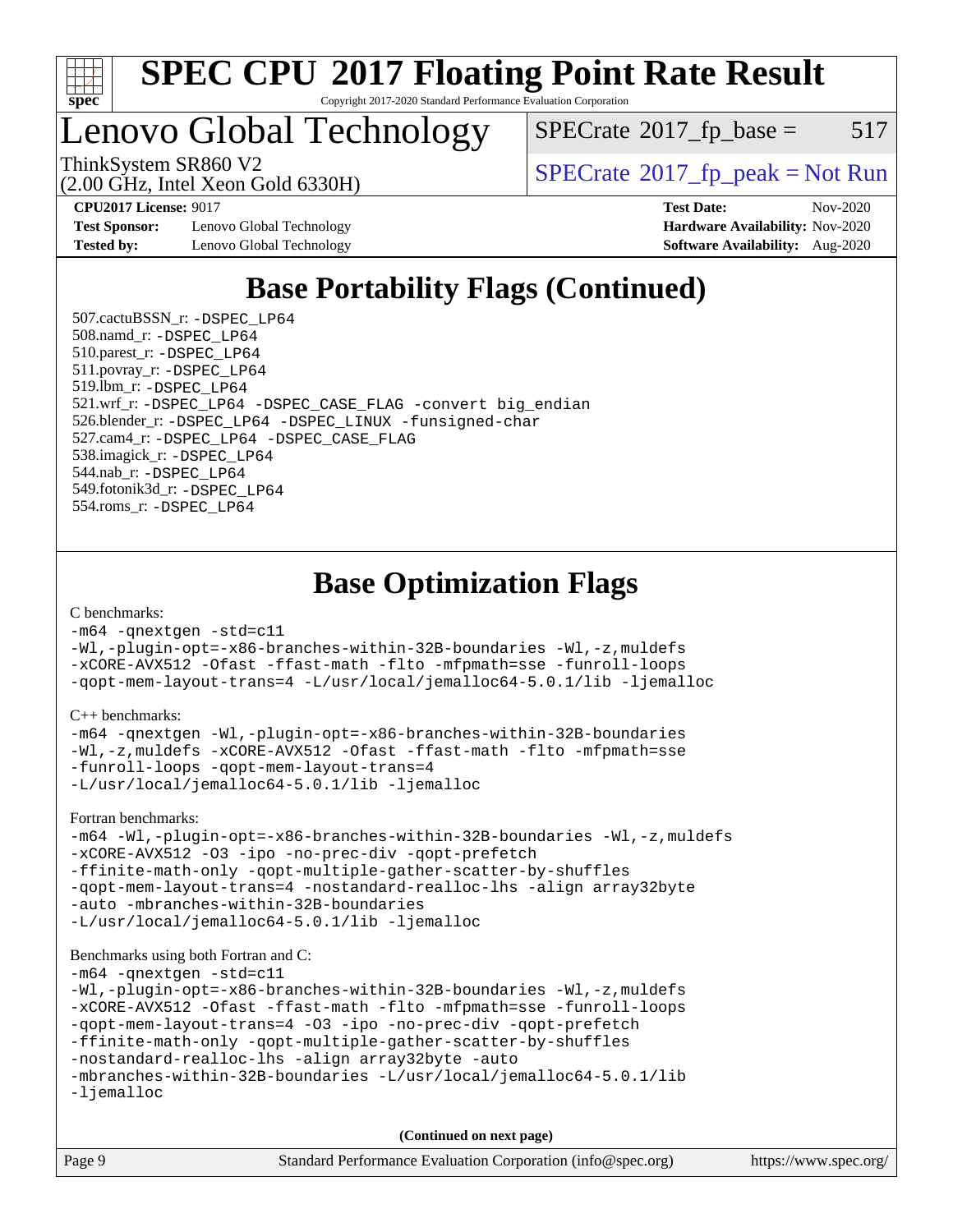

Lenovo Global Technology

 $SPECTate$ <sup>®</sup>[2017\\_fp\\_base =](http://www.spec.org/auto/cpu2017/Docs/result-fields.html#SPECrate2017fpbase) 517

(2.00 GHz, Intel Xeon Gold 6330H)

ThinkSystem SR860 V2<br>  $\begin{array}{c|c}\n\hline\n\text{ShinkSystem SRS60 V2}\n\hline\n\text{QOSCHz Intel Yesn Gold 632011}\n\end{array}$  [SPECrate](http://www.spec.org/auto/cpu2017/Docs/result-fields.html#SPECrate2017fppeak)®[2017\\_fp\\_peak = N](http://www.spec.org/auto/cpu2017/Docs/result-fields.html#SPECrate2017fppeak)ot Run

**[Test Sponsor:](http://www.spec.org/auto/cpu2017/Docs/result-fields.html#TestSponsor)** Lenovo Global Technology **[Hardware Availability:](http://www.spec.org/auto/cpu2017/Docs/result-fields.html#HardwareAvailability)** Nov-2020 **[Tested by:](http://www.spec.org/auto/cpu2017/Docs/result-fields.html#Testedby)** Lenovo Global Technology **[Software Availability:](http://www.spec.org/auto/cpu2017/Docs/result-fields.html#SoftwareAvailability)** Aug-2020

**[CPU2017 License:](http://www.spec.org/auto/cpu2017/Docs/result-fields.html#CPU2017License)** 9017 **[Test Date:](http://www.spec.org/auto/cpu2017/Docs/result-fields.html#TestDate)** Nov-2020

### **[Base Portability Flags \(Continued\)](http://www.spec.org/auto/cpu2017/Docs/result-fields.html#BasePortabilityFlags)**

 507.cactuBSSN\_r: [-DSPEC\\_LP64](http://www.spec.org/cpu2017/results/res2020q4/cpu2017-20201207-24553.flags.html#suite_basePORTABILITY507_cactuBSSN_r_DSPEC_LP64) 508.namd\_r: [-DSPEC\\_LP64](http://www.spec.org/cpu2017/results/res2020q4/cpu2017-20201207-24553.flags.html#suite_basePORTABILITY508_namd_r_DSPEC_LP64) 510.parest\_r: [-DSPEC\\_LP64](http://www.spec.org/cpu2017/results/res2020q4/cpu2017-20201207-24553.flags.html#suite_basePORTABILITY510_parest_r_DSPEC_LP64) 511.povray\_r: [-DSPEC\\_LP64](http://www.spec.org/cpu2017/results/res2020q4/cpu2017-20201207-24553.flags.html#suite_basePORTABILITY511_povray_r_DSPEC_LP64) 519.lbm\_r: [-DSPEC\\_LP64](http://www.spec.org/cpu2017/results/res2020q4/cpu2017-20201207-24553.flags.html#suite_basePORTABILITY519_lbm_r_DSPEC_LP64) 521.wrf\_r: [-DSPEC\\_LP64](http://www.spec.org/cpu2017/results/res2020q4/cpu2017-20201207-24553.flags.html#suite_basePORTABILITY521_wrf_r_DSPEC_LP64) [-DSPEC\\_CASE\\_FLAG](http://www.spec.org/cpu2017/results/res2020q4/cpu2017-20201207-24553.flags.html#b521.wrf_r_baseCPORTABILITY_DSPEC_CASE_FLAG) [-convert big\\_endian](http://www.spec.org/cpu2017/results/res2020q4/cpu2017-20201207-24553.flags.html#user_baseFPORTABILITY521_wrf_r_convert_big_endian_c3194028bc08c63ac5d04de18c48ce6d347e4e562e8892b8bdbdc0214820426deb8554edfa529a3fb25a586e65a3d812c835984020483e7e73212c4d31a38223) 526.blender\_r: [-DSPEC\\_LP64](http://www.spec.org/cpu2017/results/res2020q4/cpu2017-20201207-24553.flags.html#suite_basePORTABILITY526_blender_r_DSPEC_LP64) [-DSPEC\\_LINUX](http://www.spec.org/cpu2017/results/res2020q4/cpu2017-20201207-24553.flags.html#b526.blender_r_baseCPORTABILITY_DSPEC_LINUX) [-funsigned-char](http://www.spec.org/cpu2017/results/res2020q4/cpu2017-20201207-24553.flags.html#user_baseCPORTABILITY526_blender_r_force_uchar_40c60f00ab013830e2dd6774aeded3ff59883ba5a1fc5fc14077f794d777847726e2a5858cbc7672e36e1b067e7e5c1d9a74f7176df07886a243d7cc18edfe67) 527.cam4\_r: [-DSPEC\\_LP64](http://www.spec.org/cpu2017/results/res2020q4/cpu2017-20201207-24553.flags.html#suite_basePORTABILITY527_cam4_r_DSPEC_LP64) [-DSPEC\\_CASE\\_FLAG](http://www.spec.org/cpu2017/results/res2020q4/cpu2017-20201207-24553.flags.html#b527.cam4_r_baseCPORTABILITY_DSPEC_CASE_FLAG) 538.imagick\_r: [-DSPEC\\_LP64](http://www.spec.org/cpu2017/results/res2020q4/cpu2017-20201207-24553.flags.html#suite_basePORTABILITY538_imagick_r_DSPEC_LP64) 544.nab\_r: [-DSPEC\\_LP64](http://www.spec.org/cpu2017/results/res2020q4/cpu2017-20201207-24553.flags.html#suite_basePORTABILITY544_nab_r_DSPEC_LP64) 549.fotonik3d\_r: [-DSPEC\\_LP64](http://www.spec.org/cpu2017/results/res2020q4/cpu2017-20201207-24553.flags.html#suite_basePORTABILITY549_fotonik3d_r_DSPEC_LP64) 554.roms\_r: [-DSPEC\\_LP64](http://www.spec.org/cpu2017/results/res2020q4/cpu2017-20201207-24553.flags.html#suite_basePORTABILITY554_roms_r_DSPEC_LP64)

**[Base Optimization Flags](http://www.spec.org/auto/cpu2017/Docs/result-fields.html#BaseOptimizationFlags)**

[C benchmarks](http://www.spec.org/auto/cpu2017/Docs/result-fields.html#Cbenchmarks):

[-m64](http://www.spec.org/cpu2017/results/res2020q4/cpu2017-20201207-24553.flags.html#user_CCbase_m64-icc) [-qnextgen](http://www.spec.org/cpu2017/results/res2020q4/cpu2017-20201207-24553.flags.html#user_CCbase_f-qnextgen) [-std=c11](http://www.spec.org/cpu2017/results/res2020q4/cpu2017-20201207-24553.flags.html#user_CCbase_std-icc-std_0e1c27790398a4642dfca32ffe6c27b5796f9c2d2676156f2e42c9c44eaad0c049b1cdb667a270c34d979996257aeb8fc440bfb01818dbc9357bd9d174cb8524) [-Wl,-plugin-opt=-x86-branches-within-32B-boundaries](http://www.spec.org/cpu2017/results/res2020q4/cpu2017-20201207-24553.flags.html#user_CCbase_f-x86-branches-within-32B-boundaries_0098b4e4317ae60947b7b728078a624952a08ac37a3c797dfb4ffeb399e0c61a9dd0f2f44ce917e9361fb9076ccb15e7824594512dd315205382d84209e912f3) [-Wl,-z,muldefs](http://www.spec.org/cpu2017/results/res2020q4/cpu2017-20201207-24553.flags.html#user_CCbase_link_force_multiple1_b4cbdb97b34bdee9ceefcfe54f4c8ea74255f0b02a4b23e853cdb0e18eb4525ac79b5a88067c842dd0ee6996c24547a27a4b99331201badda8798ef8a743f577) [-xCORE-AVX512](http://www.spec.org/cpu2017/results/res2020q4/cpu2017-20201207-24553.flags.html#user_CCbase_f-xCORE-AVX512) [-Ofast](http://www.spec.org/cpu2017/results/res2020q4/cpu2017-20201207-24553.flags.html#user_CCbase_f-Ofast) [-ffast-math](http://www.spec.org/cpu2017/results/res2020q4/cpu2017-20201207-24553.flags.html#user_CCbase_f-ffast-math) [-flto](http://www.spec.org/cpu2017/results/res2020q4/cpu2017-20201207-24553.flags.html#user_CCbase_f-flto) [-mfpmath=sse](http://www.spec.org/cpu2017/results/res2020q4/cpu2017-20201207-24553.flags.html#user_CCbase_f-mfpmath_70eb8fac26bde974f8ab713bc9086c5621c0b8d2f6c86f38af0bd7062540daf19db5f3a066d8c6684be05d84c9b6322eb3b5be6619d967835195b93d6c02afa1) [-funroll-loops](http://www.spec.org/cpu2017/results/res2020q4/cpu2017-20201207-24553.flags.html#user_CCbase_f-funroll-loops) [-qopt-mem-layout-trans=4](http://www.spec.org/cpu2017/results/res2020q4/cpu2017-20201207-24553.flags.html#user_CCbase_f-qopt-mem-layout-trans_fa39e755916c150a61361b7846f310bcdf6f04e385ef281cadf3647acec3f0ae266d1a1d22d972a7087a248fd4e6ca390a3634700869573d231a252c784941a8) [-L/usr/local/jemalloc64-5.0.1/lib](http://www.spec.org/cpu2017/results/res2020q4/cpu2017-20201207-24553.flags.html#user_CCbase_jemalloc_link_path64_1_cc289568b1a6c0fd3b62c91b824c27fcb5af5e8098e6ad028160d21144ef1b8aef3170d2acf0bee98a8da324cfe4f67d0a3d0c4cc4673d993d694dc2a0df248b) [-ljemalloc](http://www.spec.org/cpu2017/results/res2020q4/cpu2017-20201207-24553.flags.html#user_CCbase_jemalloc_link_lib_d1249b907c500fa1c0672f44f562e3d0f79738ae9e3c4a9c376d49f265a04b9c99b167ecedbf6711b3085be911c67ff61f150a17b3472be731631ba4d0471706)

[C++ benchmarks:](http://www.spec.org/auto/cpu2017/Docs/result-fields.html#CXXbenchmarks)

[-m64](http://www.spec.org/cpu2017/results/res2020q4/cpu2017-20201207-24553.flags.html#user_CXXbase_m64-icc) [-qnextgen](http://www.spec.org/cpu2017/results/res2020q4/cpu2017-20201207-24553.flags.html#user_CXXbase_f-qnextgen) [-Wl,-plugin-opt=-x86-branches-within-32B-boundaries](http://www.spec.org/cpu2017/results/res2020q4/cpu2017-20201207-24553.flags.html#user_CXXbase_f-x86-branches-within-32B-boundaries_0098b4e4317ae60947b7b728078a624952a08ac37a3c797dfb4ffeb399e0c61a9dd0f2f44ce917e9361fb9076ccb15e7824594512dd315205382d84209e912f3) [-Wl,-z,muldefs](http://www.spec.org/cpu2017/results/res2020q4/cpu2017-20201207-24553.flags.html#user_CXXbase_link_force_multiple1_b4cbdb97b34bdee9ceefcfe54f4c8ea74255f0b02a4b23e853cdb0e18eb4525ac79b5a88067c842dd0ee6996c24547a27a4b99331201badda8798ef8a743f577) [-xCORE-AVX512](http://www.spec.org/cpu2017/results/res2020q4/cpu2017-20201207-24553.flags.html#user_CXXbase_f-xCORE-AVX512) [-Ofast](http://www.spec.org/cpu2017/results/res2020q4/cpu2017-20201207-24553.flags.html#user_CXXbase_f-Ofast) [-ffast-math](http://www.spec.org/cpu2017/results/res2020q4/cpu2017-20201207-24553.flags.html#user_CXXbase_f-ffast-math) [-flto](http://www.spec.org/cpu2017/results/res2020q4/cpu2017-20201207-24553.flags.html#user_CXXbase_f-flto) [-mfpmath=sse](http://www.spec.org/cpu2017/results/res2020q4/cpu2017-20201207-24553.flags.html#user_CXXbase_f-mfpmath_70eb8fac26bde974f8ab713bc9086c5621c0b8d2f6c86f38af0bd7062540daf19db5f3a066d8c6684be05d84c9b6322eb3b5be6619d967835195b93d6c02afa1) [-funroll-loops](http://www.spec.org/cpu2017/results/res2020q4/cpu2017-20201207-24553.flags.html#user_CXXbase_f-funroll-loops) [-qopt-mem-layout-trans=4](http://www.spec.org/cpu2017/results/res2020q4/cpu2017-20201207-24553.flags.html#user_CXXbase_f-qopt-mem-layout-trans_fa39e755916c150a61361b7846f310bcdf6f04e385ef281cadf3647acec3f0ae266d1a1d22d972a7087a248fd4e6ca390a3634700869573d231a252c784941a8) [-L/usr/local/jemalloc64-5.0.1/lib](http://www.spec.org/cpu2017/results/res2020q4/cpu2017-20201207-24553.flags.html#user_CXXbase_jemalloc_link_path64_1_cc289568b1a6c0fd3b62c91b824c27fcb5af5e8098e6ad028160d21144ef1b8aef3170d2acf0bee98a8da324cfe4f67d0a3d0c4cc4673d993d694dc2a0df248b) [-ljemalloc](http://www.spec.org/cpu2017/results/res2020q4/cpu2017-20201207-24553.flags.html#user_CXXbase_jemalloc_link_lib_d1249b907c500fa1c0672f44f562e3d0f79738ae9e3c4a9c376d49f265a04b9c99b167ecedbf6711b3085be911c67ff61f150a17b3472be731631ba4d0471706)

[Fortran benchmarks](http://www.spec.org/auto/cpu2017/Docs/result-fields.html#Fortranbenchmarks):

```
-m64 -Wl,-plugin-opt=-x86-branches-within-32B-boundaries -Wl,-z,muldefs
-xCORE-AVX512 -O3 -ipo -no-prec-div -qopt-prefetch
-ffinite-math-only -qopt-multiple-gather-scatter-by-shuffles
-qopt-mem-layout-trans=4 -nostandard-realloc-lhs -align array32byte
-auto -mbranches-within-32B-boundaries
-L/usr/local/jemalloc64-5.0.1/lib -ljemalloc
```
#### [Benchmarks using both Fortran and C](http://www.spec.org/auto/cpu2017/Docs/result-fields.html#BenchmarksusingbothFortranandC):

```
-m64 -qnextgen -std=c11
-Wl,-plugin-opt=-x86-branches-within-32B-boundaries -Wl,-z,muldefs
-xCORE-AVX512 -Ofast -ffast-math -flto -mfpmath=sse -funroll-loops
-qopt-mem-layout-trans=4 -O3 -ipo -no-prec-div -qopt-prefetch
-ffinite-math-only -qopt-multiple-gather-scatter-by-shuffles
-nostandard-realloc-lhs -align array32byte -auto
-mbranches-within-32B-boundaries -L/usr/local/jemalloc64-5.0.1/lib
-ljemalloc
```
**(Continued on next page)**

| Page 9 | Standard Performance Evaluation Corporation (info@spec.org) | https://www.spec.org/ |
|--------|-------------------------------------------------------------|-----------------------|